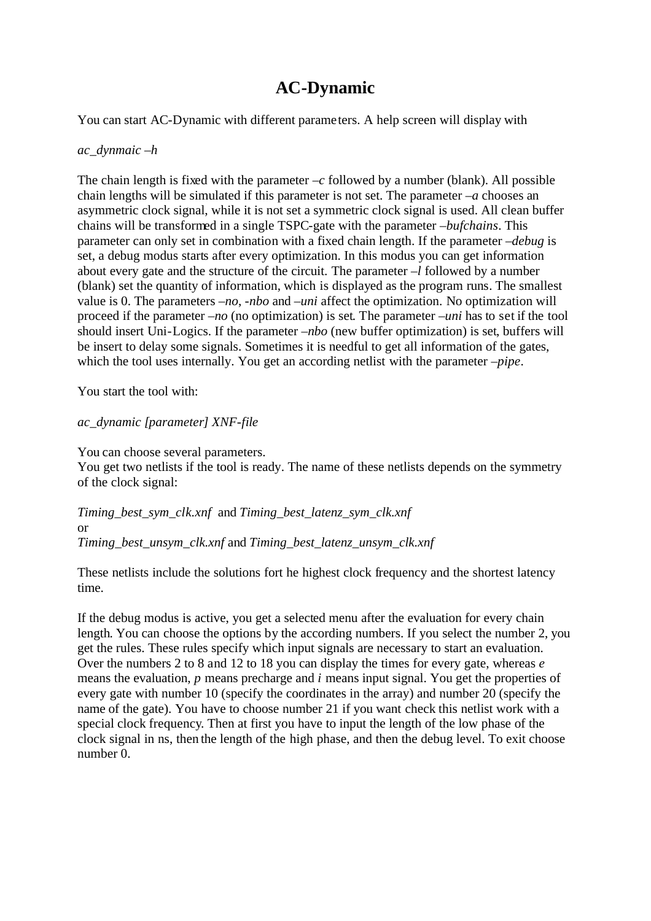## **AC-Dynamic**

You can start AC-Dynamic with different parameters. A help screen will display with

## *ac\_dynmaic –h*

The chain length is fixed with the parameter  $-c$  followed by a number (blank). All possible chain lengths will be simulated if this parameter is not set. The parameter *–a* chooses an asymmetric clock signal, while it is not set a symmetric clock signal is used. All clean buffer chains will be transformed in a single TSPC-gate with the parameter *–bufchains*. This parameter can only set in combination with a fixed chain length. If the parameter *–debug* is set, a debug modus starts after every optimization. In this modus you can get information about every gate and the structure of the circuit. The parameter *–l* followed by a number (blank) set the quantity of information, which is displayed as the program runs. The smallest value is 0. The parameters *–no*, *-nbo* and *–uni* affect the optimization. No optimization will proceed if the parameter *–no* (no optimization) is set. The parameter *–uni* has to set if the tool should insert Uni-Logics. If the parameter *–nbo* (new buffer optimization) is set, buffers will be insert to delay some signals. Sometimes it is needful to get all information of the gates, which the tool uses internally. You get an according netlist with the parameter *–pipe*.

You start the tool with:

*ac\_dynamic [parameter] XNF-file*

You can choose several parameters.

You get two netlists if the tool is ready. The name of these netlists depends on the symmetry of the clock signal:

*Timing\_best\_sym\_clk.xnf* and *Timing\_best\_latenz\_sym\_clk.xnf* or *Timing\_best\_unsym\_clk.xnf* and *Timing\_best\_latenz\_unsym\_clk.xnf*

These netlists include the solutions fort he highest clock frequency and the shortest latency time.

If the debug modus is active, you get a selected menu after the evaluation for every chain length. You can choose the options by the according numbers. If you select the number 2, you get the rules. These rules specify which input signals are necessary to start an evaluation. Over the numbers 2 to 8 and 12 to 18 you can display the times for every gate, whereas *e*  means the evaluation, *p* means precharge and *i* means input signal. You get the properties of every gate with number 10 (specify the coordinates in the array) and number 20 (specify the name of the gate). You have to choose number 21 if you want check this netlist work with a special clock frequency. Then at first you have to input the length of the low phase of the clock signal in ns, then the length of the high phase, and then the debug level. To exit choose number 0.